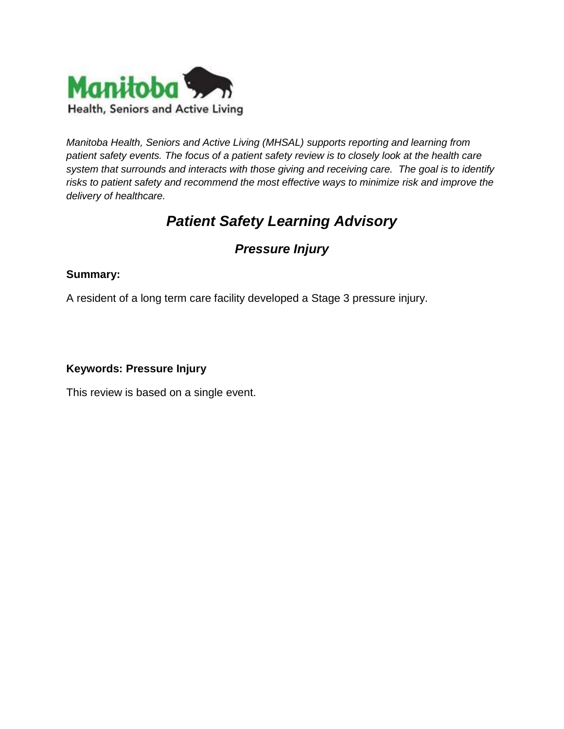

*Manitoba Health, Seniors and Active Living (MHSAL) supports reporting and learning from patient safety events. The focus of a patient safety review is to closely look at the health care system that surrounds and interacts with those giving and receiving care. The goal is to identify risks to patient safety and recommend the most effective ways to minimize risk and improve the delivery of healthcare.* 

# *Patient Safety Learning Advisory*

# *Pressure Injury*

# **Summary:**

A resident of a long term care facility developed a Stage 3 pressure injury.

#### **Keywords: Pressure Injury**

This review is based on a single event.